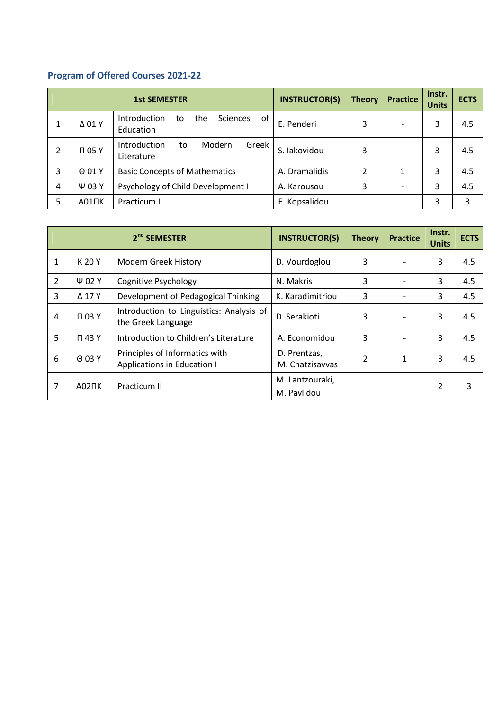## **Program of Offered Courses 2021-22**

| <b>1st SEMESTER</b> |                   |                                                                 | <b>INSTRUCTOR(S)</b> | <b>Theory</b> | <b>Practice</b> | Instr.<br><b>Units</b> | <b>ECTS</b> |
|---------------------|-------------------|-----------------------------------------------------------------|----------------------|---------------|-----------------|------------------------|-------------|
|                     | $\Delta$ 01 Y     | Introduction<br>of<br><b>Sciences</b><br>the<br>to<br>Education | E. Penderi           | 3             |                 | 3                      | 4.5         |
| 2                   | T 05 Y            | Introduction<br>Greek<br>Modern<br>to<br>Literature             | S. lakovidou         | 3             |                 | 3                      | 4.5         |
| 3                   | $\Theta$ 01 Y     | <b>Basic Concepts of Mathematics</b>                            | A. Dramalidis        | 2             | 1               | 3                      | 4.5         |
| 4                   | Ψ 03 Y            | Psychology of Child Development I                               | A. Karousou          | 3             |                 | 3                      | 4.5         |
| 5                   | A01 <sub>UK</sub> | Practicum I                                                     | E. Kopsalidou        |               |                 | 3                      | 3           |

|                |             | 2 <sup>nd</sup> SEMESTER                                       | <b>INSTRUCTOR(S)</b>            | <b>Theory</b>  | <b>Practice</b> | Instr.<br><b>Units</b> | <b>ECTS</b> |
|----------------|-------------|----------------------------------------------------------------|---------------------------------|----------------|-----------------|------------------------|-------------|
|                | K 20 Y      | Modern Greek History                                           | D. Vourdoglou                   | 3              |                 | 3                      | 4.5         |
| $\overline{2}$ | $\Psi$ 02 Y | Cognitive Psychology                                           | N. Makris                       | 3              |                 | 3                      | 4.5         |
| 3              | Δ17Y        | Development of Pedagogical Thinking                            | K. Karadimitriou                | 3              |                 | 3                      | 4.5         |
| 4              | T 03 Y      | Introduction to Linguistics: Analysis of<br>the Greek Language | D. Serakioti                    | 3              |                 | 3                      | 4.5         |
| 5              | T 43 Y      | Introduction to Children's Literature                          | A. Economidou                   | 3              |                 | 3                      | 4.5         |
| 6              | 0 03 Y      | Principles of Informatics with<br>Applications in Education I  | D. Prentzas,<br>M. Chatzisayyas | $\overline{2}$ | $\mathbf{1}$    | 3                      | 4.5         |
| 7              | A02NK       | Practicum II                                                   | M. Lantzouraki,<br>M. Pavlidou  |                |                 | 2                      | 3           |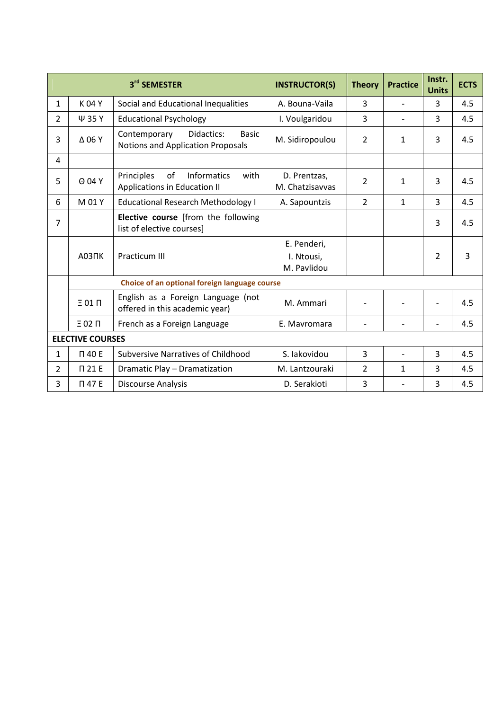|                |                         | 3rd SEMESTER                                                                    | <b>INSTRUCTOR(S)</b>                     | <b>Theory</b>  | <b>Practice</b>          | Instr.<br><b>Units</b> | <b>ECTS</b> |
|----------------|-------------------------|---------------------------------------------------------------------------------|------------------------------------------|----------------|--------------------------|------------------------|-------------|
| $\mathbf{1}$   | K 04 Y                  | Social and Educational Inequalities                                             | A. Bouna-Vaila                           | 3              | $\overline{\phantom{a}}$ | 3                      | 4.5         |
| $\overline{2}$ | Ψ 35 Y                  | <b>Educational Psychology</b>                                                   | I. Voulgaridou                           | 3              |                          | 3                      | 4.5         |
| 3              | $\Delta$ 06 Y           | Contemporary<br>Didactics:<br><b>Basic</b><br>Notions and Application Proposals | M. Sidiropoulou                          | $\overline{2}$ | $\mathbf{1}$             | 3                      | 4.5         |
| 4              |                         |                                                                                 |                                          |                |                          |                        |             |
| 5              | $\Theta$ 04 Y           | Principles<br>of<br><b>Informatics</b><br>with<br>Applications in Education II  | D. Prentzas,<br>M. Chatzisavvas          | $\overline{2}$ | 1                        | 3                      | 4.5         |
| 6              | M 01 Y                  | <b>Educational Research Methodology I</b>                                       | A. Sapountzis                            | $\overline{2}$ | $\mathbf{1}$             | $\overline{3}$         | 4.5         |
| $\overline{7}$ |                         | Elective course [from the following<br>list of elective courses]                |                                          |                |                          | 3                      | 4.5         |
|                |                         | <b>Practicum III</b>                                                            | E. Penderi,<br>I. Ntousi,<br>M. Pavlidou |                |                          | $\overline{2}$         | 3           |
|                |                         | Choice of an optional foreign language course                                   |                                          |                |                          |                        |             |
|                | $E$ 01 $\Pi$            | English as a Foreign Language (not<br>offered in this academic year)            | M. Ammari                                |                |                          |                        | 4.5         |
|                | $E$ 02 $\Pi$            | French as a Foreign Language                                                    | E. Mavromara                             |                |                          |                        | 4.5         |
|                | <b>ELECTIVE COURSES</b> |                                                                                 |                                          |                |                          |                        |             |
| $\mathbf{1}$   | П 40 Е                  | <b>Subversive Narratives of Childhood</b>                                       | S. lakovidou                             | $\overline{3}$ | $\overline{\phantom{0}}$ | 3                      | 4.5         |
| $\overline{2}$ | $\Pi$ 21 E              | Dramatic Play - Dramatization                                                   | M. Lantzouraki                           | 2              | $\mathbf{1}$             | 3                      | 4.5         |
| 3              | П 47 E                  | Discourse Analysis                                                              | D. Serakioti                             | 3              |                          | 3                      | 4.5         |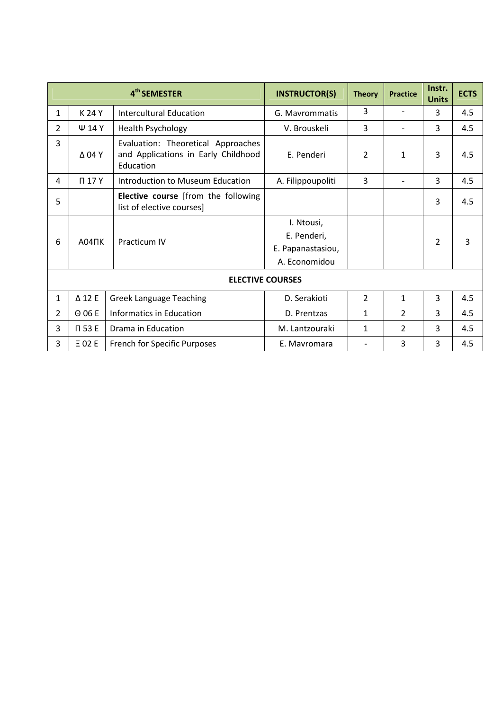|                         |                  | 4 <sup>th</sup> SEMESTER                                                               | <b>INSTRUCTOR(S)</b>                                            | <b>Theory</b>  | <b>Practice</b> | Instr.<br><b>Units</b> | <b>ECTS</b> |  |
|-------------------------|------------------|----------------------------------------------------------------------------------------|-----------------------------------------------------------------|----------------|-----------------|------------------------|-------------|--|
| $\mathbf{1}$            | K 24 Y           | <b>Intercultural Education</b>                                                         | G. Mayrommatis                                                  | 3              |                 | 3                      | 4.5         |  |
| $\overline{2}$          | $\Psi$ 14 Y      | <b>Health Psychology</b>                                                               | V. Brouskeli                                                    | 3              |                 | 3                      | 4.5         |  |
| 3                       | $\Delta$ 04 Y    | Evaluation: Theoretical Approaches<br>and Applications in Early Childhood<br>Education | E. Penderi                                                      | 2              | $\mathbf{1}$    | 3                      | 4.5         |  |
| 4                       | T17Y             | Introduction to Museum Education                                                       | A. Filippoupoliti                                               | 3              |                 | 3                      | 4.5         |  |
| 5                       |                  | Elective course [from the following<br>list of elective courses]                       |                                                                 |                |                 | 3                      | 4.5         |  |
| 6                       | $A04\Pi K$       | <b>Practicum IV</b>                                                                    | I. Ntousi,<br>E. Penderi,<br>E. Papanastasiou,<br>A. Economidou |                |                 | $\overline{2}$         | 3           |  |
| <b>ELECTIVE COURSES</b> |                  |                                                                                        |                                                                 |                |                 |                        |             |  |
| $\mathbf{1}$            | $\triangle$ 12 E | <b>Greek Language Teaching</b>                                                         | D. Serakioti                                                    | $\overline{2}$ | $\mathbf{1}$    | $\overline{3}$         | 4.5         |  |
| $\overline{2}$          | $\Theta$ 06 E    | <b>Informatics in Education</b>                                                        | D. Prentzas                                                     | 1              | $\overline{2}$  | 3                      | 4.5         |  |
| 3                       | T 53 E           | Drama in Education                                                                     | M. Lantzouraki                                                  | 1              | $\overline{2}$  | 3                      | 4.5         |  |
| 3                       | $E$ 02 E         | French for Specific Purposes                                                           | E. Mavromara                                                    |                | 3               | 3                      | 4.5         |  |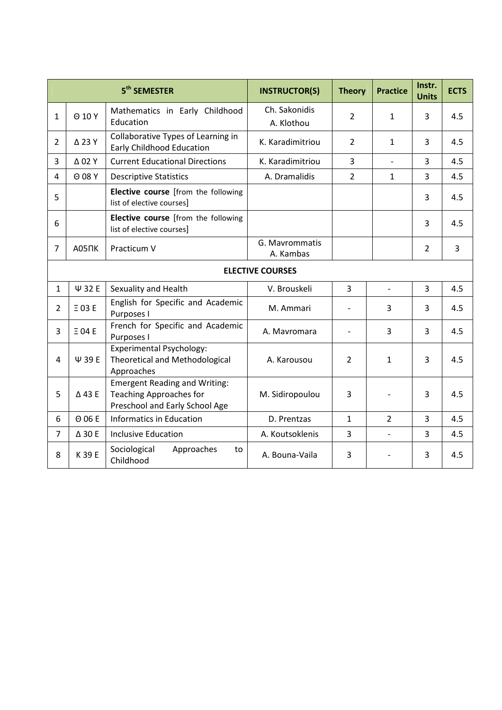|                |                   | 5 <sup>th</sup> SEMESTER                                                                                 | <b>INSTRUCTOR(S)</b>        | <b>Theory</b>  | <b>Practice</b>          | Instr.<br><b>Units</b> | <b>ECTS</b>    |
|----------------|-------------------|----------------------------------------------------------------------------------------------------------|-----------------------------|----------------|--------------------------|------------------------|----------------|
| $\mathbf{1}$   | $O$ 10 Y          | Mathematics in Early Childhood<br>Education                                                              | Ch. Sakonidis<br>A. Klothou | $\overline{2}$ | $\mathbf{1}$             | 3                      | 4.5            |
| $\overline{2}$ | △ 23 Y            | Collaborative Types of Learning in<br><b>Early Childhood Education</b>                                   | K. Karadimitriou            | $\overline{2}$ | 1                        | 3                      | 4.5            |
| 3              | $\Delta$ 02 Y     | <b>Current Educational Directions</b>                                                                    | K. Karadimitriou            | 3              | $\overline{\phantom{a}}$ | $\overline{3}$         | 4.5            |
| 4              | $O$ 08 Y          | <b>Descriptive Statistics</b>                                                                            | A. Dramalidis               | $\overline{2}$ | $\mathbf{1}$             | 3                      | 4.5            |
| 5              |                   | Elective course [from the following<br>list of elective courses]                                         |                             |                |                          | $\overline{3}$         | 4.5            |
| 6              |                   | Elective course [from the following<br>list of elective courses]                                         |                             |                |                          | 3                      | 4.5            |
| $\overline{7}$ | A05 <sub>UK</sub> | Practicum V                                                                                              | G. Mavrommatis<br>A. Kambas |                |                          | $\overline{2}$         | $\overline{3}$ |
|                |                   |                                                                                                          | <b>ELECTIVE COURSES</b>     |                |                          |                        |                |
| $\mathbf{1}$   | Ψ 32 E            | Sexuality and Health                                                                                     | V. Brouskeli                | $\overline{3}$ | $\overline{a}$           | $\overline{3}$         | 4.5            |
| $\overline{2}$ | $E$ 03 E          | English for Specific and Academic<br>Purposes I                                                          | M. Ammari                   |                | 3                        | 3                      | 4.5            |
| 3              | $E$ 04 E          | French for Specific and Academic<br>Purposes I                                                           | A. Mavromara                |                | 3                        | 3                      | 4.5            |
| 4              | Ψ 39 E            | Experimental Psychology:<br><b>Theoretical and Methodological</b><br>Approaches                          | A. Karousou                 | 2              | $\mathbf{1}$             | 3                      | 4.5            |
| 5              | △43 E             | <b>Emergent Reading and Writing:</b><br><b>Teaching Approaches for</b><br>Preschool and Early School Age | M. Sidiropoulou             | 3              |                          | 3                      | 4.5            |
| 6              | $\Theta$ 06 E     | Informatics in Education                                                                                 | D. Prentzas                 | $\mathbf{1}$   | $\overline{2}$           | $\overline{3}$         | 4.5            |
| $\overline{7}$ | Δ 30 E            | <b>Inclusive Education</b>                                                                               | A. Koutsoklenis             | 3              |                          | $\overline{3}$         | 4.5            |
| 8              | K 39 E            | Sociological<br>Approaches<br>to<br>Childhood                                                            | A. Bouna-Vaila              | 3              |                          | $\overline{3}$         | 4.5            |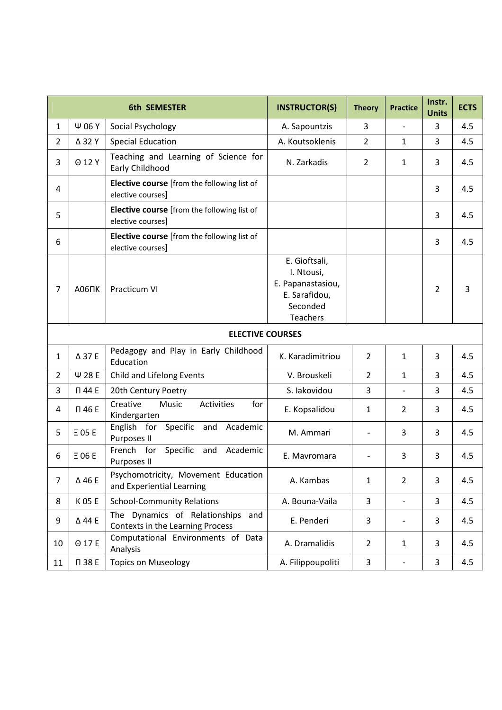|                |                    | <b>6th SEMESTER</b>                                                   | <b>INSTRUCTOR(S)</b>                                                                             | <b>Theory</b>  | <b>Practice</b>          | Instr.<br><b>Units</b> | <b>ECTS</b> |
|----------------|--------------------|-----------------------------------------------------------------------|--------------------------------------------------------------------------------------------------|----------------|--------------------------|------------------------|-------------|
| $\mathbf{1}$   | Ψ 06 Y             | Social Psychology                                                     | A. Sapountzis                                                                                    | 3              | $\overline{a}$           | 3                      | 4.5         |
| $\overline{2}$ | ∆ 32 Y             | <b>Special Education</b>                                              | A. Koutsoklenis                                                                                  | $\overline{2}$ | $\mathbf{1}$             | 3                      | 4.5         |
| 3              | $O$ 12 Y           | Teaching and Learning of Science for<br>Early Childhood               | N. Zarkadis                                                                                      | $\overline{2}$ | $\mathbf{1}$             | 3                      | 4.5         |
| 4              |                    | Elective course [from the following list of<br>elective courses]      |                                                                                                  |                |                          | 3                      | 4.5         |
| 5              |                    | Elective course [from the following list of<br>elective courses]      |                                                                                                  |                |                          | 3                      | 4.5         |
| 6              |                    | Elective course [from the following list of<br>elective courses]      |                                                                                                  |                |                          | 3                      | 4.5         |
| 7              | A06 <sub>U</sub> K | Practicum VI                                                          | E. Gioftsali,<br>I. Ntousi,<br>E. Papanastasiou,<br>E. Sarafidou,<br>Seconded<br><b>Teachers</b> |                |                          | $\overline{2}$         | 3           |
|                |                    | <b>ELECTIVE COURSES</b>                                               |                                                                                                  |                |                          |                        |             |
| $\mathbf{1}$   | ∆ 37 E             | Pedagogy and Play in Early Childhood<br>Education                     | K. Karadimitriou                                                                                 | $\overline{2}$ | $\mathbf{1}$             | 3                      | 4.5         |
| $\overline{2}$ | Ψ 28 E             | Child and Lifelong Events                                             | V. Brouskeli                                                                                     | $\overline{2}$ | $\mathbf{1}$             | 3                      | 4.5         |
| 3              | П 44 E             | 20th Century Poetry                                                   | S. lakovidou                                                                                     | 3              | $\overline{\phantom{0}}$ | 3                      | 4.5         |
| 4              | П 46 E             | Creative<br>Music<br>Activities<br>for<br>Kindergarten                | E. Kopsalidou                                                                                    | $\mathbf{1}$   | $\overline{2}$           | 3                      | 4.5         |
| 5              | $E$ 05 E           | English for Specific<br>Academic<br>and<br>Purposes II                | M. Ammari                                                                                        |                | 3                        | 3                      | 4.5         |
| 6              | $\equiv$ 06 E      | French for<br>Specific<br>Academic<br>and<br>Purposes II              | E. Mavromara                                                                                     |                | 3                        | 3                      | 4.5         |
| 7              | ∆46 E              | Psychomotricity, Movement Education<br>and Experiential Learning      | A. Kambas                                                                                        | $\mathbf{1}$   | $\overline{2}$           | 3                      | 4.5         |
| 8              | K 05 E             | <b>School-Community Relations</b>                                     | A. Bouna-Vaila                                                                                   | $\overline{3}$ | $\frac{1}{2}$            | 3                      | 4.5         |
| 9              | ∆44 E              | The Dynamics of Relationships and<br>Contexts in the Learning Process | E. Penderi                                                                                       | 3              | -                        | 3                      | 4.5         |
| 10             | Θ 17 E             | Computational Environments of Data<br>Analysis                        | A. Dramalidis                                                                                    | $\overline{2}$ | $\mathbf{1}$             | 3                      | 4.5         |
| 11             | П 38 E             | <b>Topics on Museology</b>                                            | A. Filippoupoliti                                                                                | 3              | $\overline{\phantom{0}}$ | 3                      | 4.5         |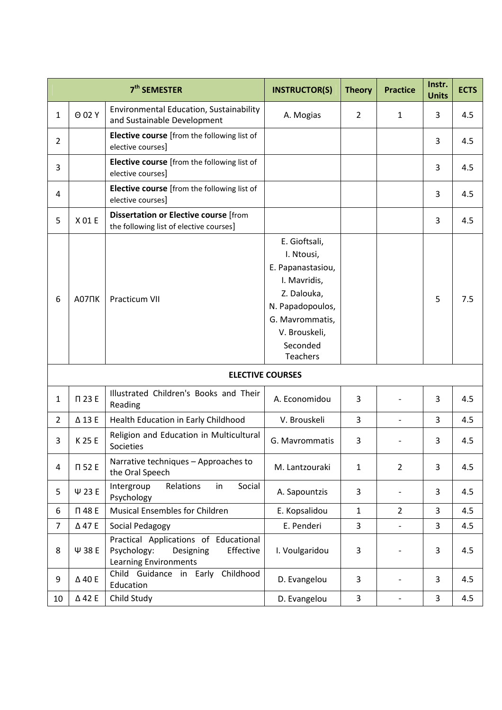|                |                   | 7 <sup>th</sup> SEMESTER                                                                                       | <b>INSTRUCTOR(S)</b>                                                                                                                                                   | <b>Theory</b>  | <b>Practice</b>          | Instr.<br><b>Units</b> | <b>ECTS</b> |
|----------------|-------------------|----------------------------------------------------------------------------------------------------------------|------------------------------------------------------------------------------------------------------------------------------------------------------------------------|----------------|--------------------------|------------------------|-------------|
| 1              | $O$ 02 Y          | Environmental Education, Sustainability<br>and Sustainable Development                                         | A. Mogias                                                                                                                                                              | $\overline{2}$ | 1                        | 3                      | 4.5         |
| $\overline{2}$ |                   | Elective course [from the following list of<br>elective courses]                                               |                                                                                                                                                                        |                |                          | 3                      | 4.5         |
| 3              |                   | Elective course [from the following list of<br>elective courses]                                               |                                                                                                                                                                        |                |                          | 3                      | 4.5         |
| 4              |                   | <b>Elective course</b> [from the following list of<br>elective courses]                                        |                                                                                                                                                                        |                |                          | 3                      | 4.5         |
| 5              | X 01 E            | <b>Dissertation or Elective course</b> [from<br>the following list of elective courses]                        |                                                                                                                                                                        |                |                          | 3                      | 4.5         |
| 6              | A07 <sub>UK</sub> | <b>Practicum VII</b>                                                                                           | E. Gioftsali,<br>I. Ntousi,<br>E. Papanastasiou,<br>I. Mavridis,<br>Z. Dalouka,<br>N. Papadopoulos,<br>G. Mavrommatis,<br>V. Brouskeli,<br>Seconded<br><b>Teachers</b> |                |                          | 5                      | 7.5         |
|                |                   |                                                                                                                | <b>ELECTIVE COURSES</b>                                                                                                                                                |                |                          |                        |             |
| 1              | П 23 E            | Illustrated Children's Books and Their<br>Reading                                                              | A. Economidou                                                                                                                                                          | 3              |                          | 3                      | 4.5         |
| $\overline{2}$ | Δ13E              | Health Education in Early Childhood                                                                            | V. Brouskeli                                                                                                                                                           | 3              | $\overline{\phantom{a}}$ | 3                      | 4.5         |
| 3              | K 25 E            | Religion and Education in Multicultural<br>Societies                                                           | G. Mavrommatis                                                                                                                                                         | 3              |                          | 3                      | 4.5         |
| 4              | $\Pi$ 52 E        | Narrative techniques - Approaches to<br>the Oral Speech                                                        | M. Lantzouraki                                                                                                                                                         | $\mathbf{1}$   | $\overline{2}$           | 3                      | 4.5         |
| 5              | $\Psi$ 23 E       | Relations<br>Intergroup<br>Social<br>in<br>Psychology                                                          | A. Sapountzis                                                                                                                                                          | 3              |                          | 3                      | 4.5         |
| 6              | П 48 E            | Musical Ensembles for Children                                                                                 | E. Kopsalidou                                                                                                                                                          | $\mathbf{1}$   | $\overline{2}$           | 3                      | 4.5         |
| $\overline{7}$ | Δ47E              | Social Pedagogy                                                                                                | E. Penderi                                                                                                                                                             | 3              |                          | 3                      | 4.5         |
| 8              | Ψ 38 E            | Practical Applications of Educational<br>Psychology:<br>Designing<br>Effective<br><b>Learning Environments</b> | I. Voulgaridou                                                                                                                                                         | $\mathsf 3$    |                          | 3                      | 4.5         |
| 9              | ∆40 E             | Childhood<br>Child Guidance in Early<br>Education                                                              | D. Evangelou                                                                                                                                                           | 3              |                          | 3                      | 4.5         |
| 10             | △42 E             | Child Study                                                                                                    | D. Evangelou                                                                                                                                                           | $\overline{3}$ | $\overline{\phantom{a}}$ | 3                      | 4.5         |